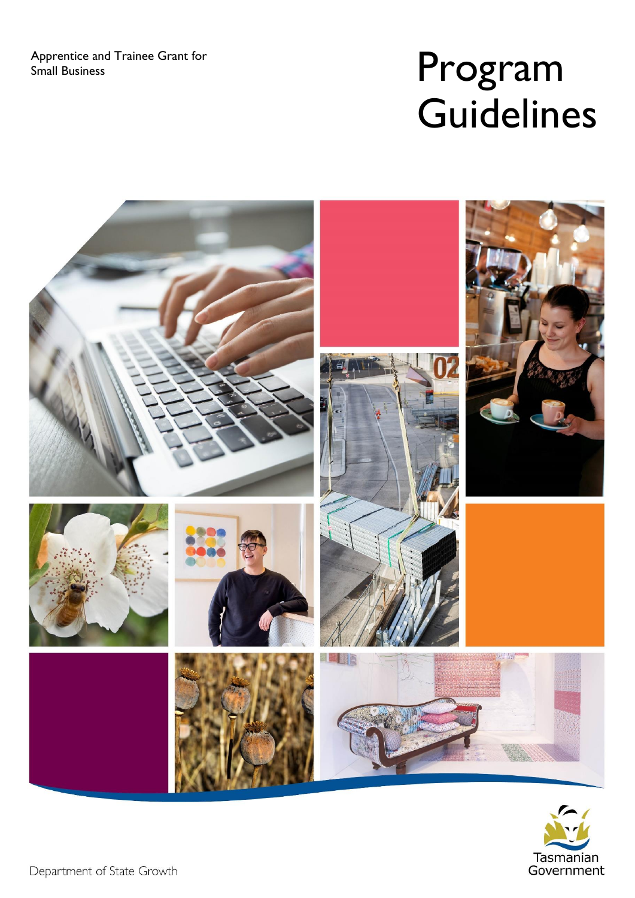Apprentice and Trainee Grant for

# Apprentice and Trainee Grant for<br>Small Business **Program Guidelines**





Department of State Growth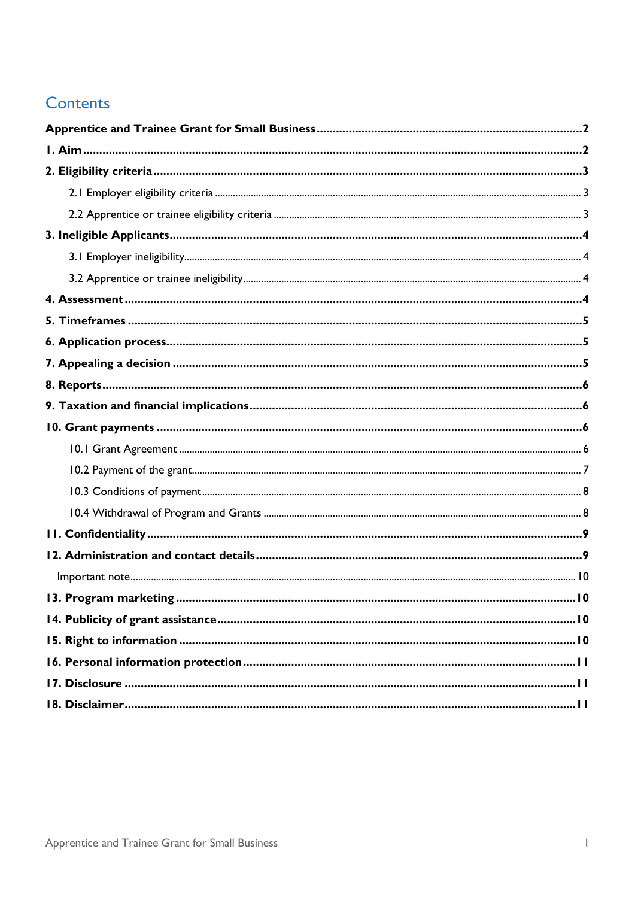#### **Contents**

| 13. Program marketing. | .10 |
|------------------------|-----|
|                        |     |
|                        |     |
|                        |     |
|                        |     |
|                        |     |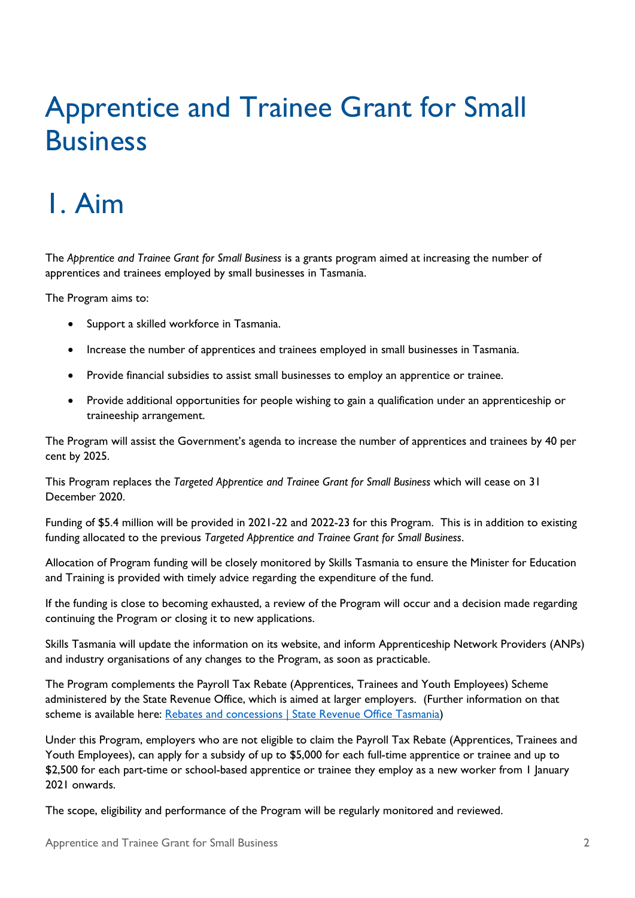### <span id="page-3-0"></span>Apprentice and Trainee Grant for Small **Business**

## <span id="page-3-1"></span>1. Aim

The *Apprentice and Trainee Grant for Small Business* is a grants program aimed at increasing the number of apprentices and trainees employed by small businesses in Tasmania.

The Program aims to:

- Support a skilled workforce in Tasmania.
- Increase the number of apprentices and trainees employed in small businesses in Tasmania.
- Provide financial subsidies to assist small businesses to employ an apprentice or trainee.
- Provide additional opportunities for people wishing to gain a qualification under an apprenticeship or traineeship arrangement.

The Program will assist the Government's agenda to increase the number of apprentices and trainees by 40 per cent by 2025.

This Program replaces the *Targeted Apprentice and Trainee Grant for Small Business* which will cease on 31 December 2020.

Funding of \$5.4 million will be provided in 2021-22 and 2022-23 for this Program. This is in addition to existing funding allocated to the previous *Targeted Apprentice and Trainee Grant for Small Business*.

Allocation of Program funding will be closely monitored by Skills Tasmania to ensure the Minister for Education and Training is provided with timely advice regarding the expenditure of the fund.

If the funding is close to becoming exhausted, a review of the Program will occur and a decision made regarding continuing the Program or closing it to new applications.

Skills Tasmania will update the information on its website, and inform Apprenticeship Network Providers (ANPs) and industry organisations of any changes to the Program, as soon as practicable.

The Program complements the Payroll Tax Rebate (Apprentices, Trainees and Youth Employees) Scheme administered by the State Revenue Office, which is aimed at larger employers. (Further information on that scheme is available here: [Rebates and concessions | State Revenue Office Tasmania\)](https://www.sro.tas.gov.au/payroll-tax/rebates-concessions#:~:text=A%20rebate%20for%20employers%20that%20%E2%80%8Bpay%20payroll%20tax,interstate%20busine%E2%80%8Bss%20relo%E2%80%8B%E2%80%8Bcates%20their%20operations%20to%20regional%20Tasmania.)

Under this Program, employers who are not eligible to claim the Payroll Tax Rebate (Apprentices, Trainees and Youth Employees), can apply for a subsidy of up to \$5,000 for each full-time apprentice or trainee and up to \$2,500 for each part-time or school-based apprentice or trainee they employ as a new worker from 1 January 2021 onwards.

The scope, eligibility and performance of the Program will be regularly monitored and reviewed.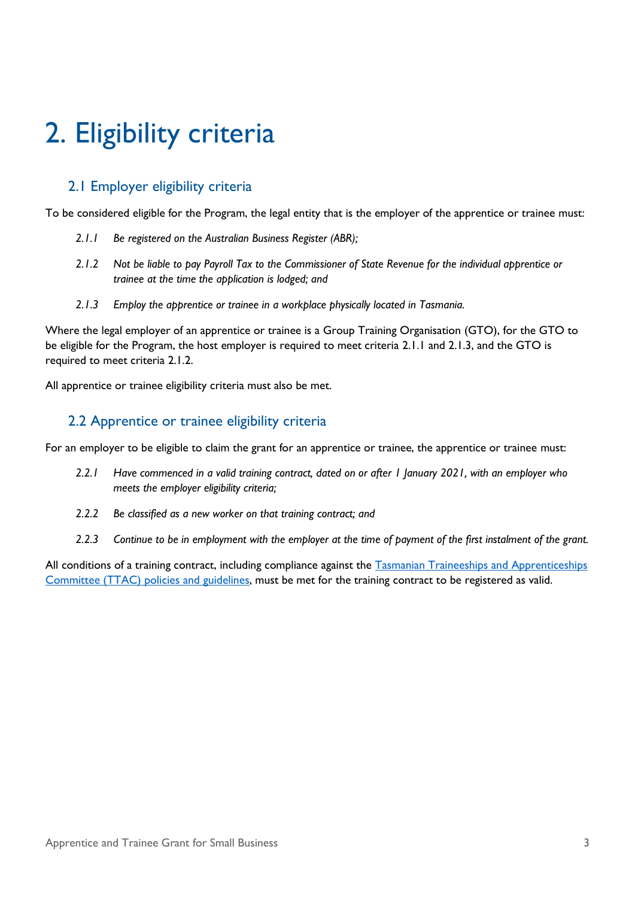## <span id="page-4-0"></span>2. Eligibility criteria

#### <span id="page-4-1"></span>2.1 Employer eligibility criteria

To be considered eligible for the Program, the legal entity that is the employer of the apprentice or trainee must:

- *2.1.1 Be registered on the Australian Business Register (ABR);*
- *2.1.2 Not be liable to pay Payroll Tax to the Commissioner of State Revenue for the individual apprentice or trainee at the time the application is lodged; and*
- *2.1.3 Employ the apprentice or trainee in a workplace physically located in Tasmania.*

Where the legal employer of an apprentice or trainee is a Group Training Organisation (GTO), for the GTO to be eligible for the Program, the host employer is required to meet criteria 2.1.1 and 2.1.3, and the GTO is required to meet criteria 2.1.2.

<span id="page-4-2"></span>All apprentice or trainee eligibility criteria must also be met.

#### 2.2 Apprentice or trainee eligibility criteria

For an employer to be eligible to claim the grant for an apprentice or trainee, the apprentice or trainee must:

- *2.2.1 Have commenced in a valid training contract, dated on or after 1 January 2021, with an employer who meets the employer eligibility criteria;*
- *2.2.2 Be classified as a new worker on that training contract; and*
- *2.2.3 Continue to be in employment with the employer at the time of payment of the first instalment of the grant.*

All conditions of a training contract, including compliance against the Tasmanian Traineeships and Apprenticeships Committee (TTAC) [policies and guidelines,](https://www.skills.tas.gov.au/about/vet_system/tasmanian_traineeships_and_apprenticeships_committee) must be met for the training contract to be registered as valid.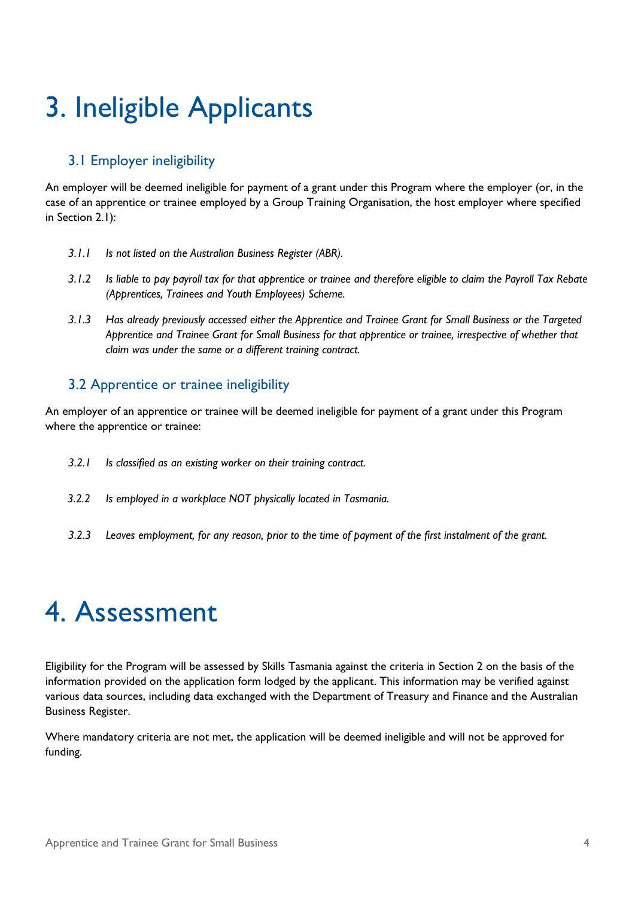## <span id="page-5-0"></span>3. Ineligible Applicants

#### <span id="page-5-1"></span>3.1 Employer ineligibility

An employer will be deemed ineligible for payment of a grant under this Program where the employer (or, in the case of an apprentice or trainee employed by a Group Training Organisation, the host employer where specified in Section 2.1):

- *3.1.1 Is not listed on the Australian Business Register (ABR).*
- *3.1.2 Is liable to pay payroll tax for that apprentice or trainee and therefore eligible to claim the Payroll Tax Rebate (Apprentices, Trainees and Youth Employees) Scheme.*
- *3.1.3 Has already previously accessed either the Apprentice and Trainee Grant for Small Business or the Targeted Apprentice and Trainee Grant for Small Business for that apprentice or trainee, irrespective of whether that claim was under the same or a different training contract.*

#### <span id="page-5-2"></span>3.2 Apprentice or trainee ineligibility

An employer of an apprentice or trainee will be deemed ineligible for payment of a grant under this Program where the apprentice or trainee:

- *3.2.1 Is classified as an existing worker on their training contract.*
- *3.2.2 Is employed in a workplace NOT physically located in Tasmania.*
- *3.2.3 Leaves employment, for any reason, prior to the time of payment of the first instalment of the grant.*

## <span id="page-5-3"></span>4. Assessment

Eligibility for the Program will be assessed by Skills Tasmania against the criteria in Section 2 on the basis of the information provided on the application form lodged by the applicant. This information may be verified against various data sources, including data exchanged with the Department of Treasury and Finance and the Australian Business Register.

Where mandatory criteria are not met, the application will be deemed ineligible and will not be approved for funding.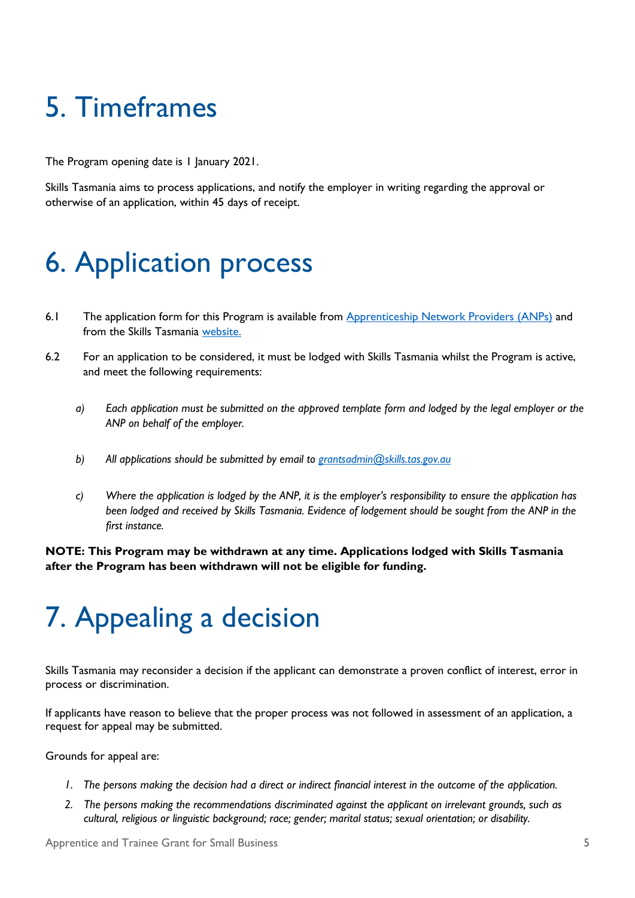## <span id="page-6-0"></span>5. Timeframes

The Program opening date is 1 January 2021.

Skills Tasmania aims to process applications, and notify the employer in writing regarding the approval or otherwise of an application, within 45 days of receipt.

### <span id="page-6-1"></span>6. Application process

- 6.1 The application form for this Program is available from [Apprenticeship Network Providers \(ANPs\)](https://www.skills.tas.gov.au/providers/apprenticeship_network_providers) and from the [Skills Tasmania](https://www.skills.tas.gov.au/funding) [website.](https://www.skills.tas.gov.au/home)
- 6.2 For an application to be considered, it must be lodged with Skills Tasmania whilst the Program is active, and meet the following requirements:
	- *a) Each application must be submitted on the approved template form and lodged by the legal employer or the ANP on behalf of the employer.*
	- *b) All applications should be submitted by email to [grantsadmin@skills.tas.gov.au](mailto:grantsadmin@skills.tas.gov.au)*
	- *c*) Where the application is lodged by the ANP, it is the employer's responsibility to ensure the application has *been lodged and received by Skills Tasmania. Evidence of lodgement should be sought from the ANP in the first instance.*

**NOTE: This Program may be withdrawn at any time. Applications lodged with Skills Tasmania after the Program has been withdrawn will not be eligible for funding.**

## <span id="page-6-2"></span>7. Appealing a decision

Skills Tasmania may reconsider a decision if the applicant can demonstrate a proven conflict of interest, error in process or discrimination.

If applicants have reason to believe that the proper process was not followed in assessment of an application, a request for appeal may be submitted.

Grounds for appeal are:

- *1. The persons making the decision had a direct or indirect financial interest in the outcome of the application.*
- *2. The persons making the recommendations discriminated against the applicant on irrelevant grounds, such as cultural, religious or linguistic background; race; gender; marital status; sexual orientation; or disability.*

Apprentice and Trainee Grant for Small Business 5 and 3 and 3 and 3 and 3 and 3 and 3 and 3 and 3 and 3 and 3 and 3 and 3 and 3 and 3 and 3 and 3 and 3 and 3 and 3 and 3 and 3 and 3 and 3 and 3 and 3 and 3 and 3 and 3 and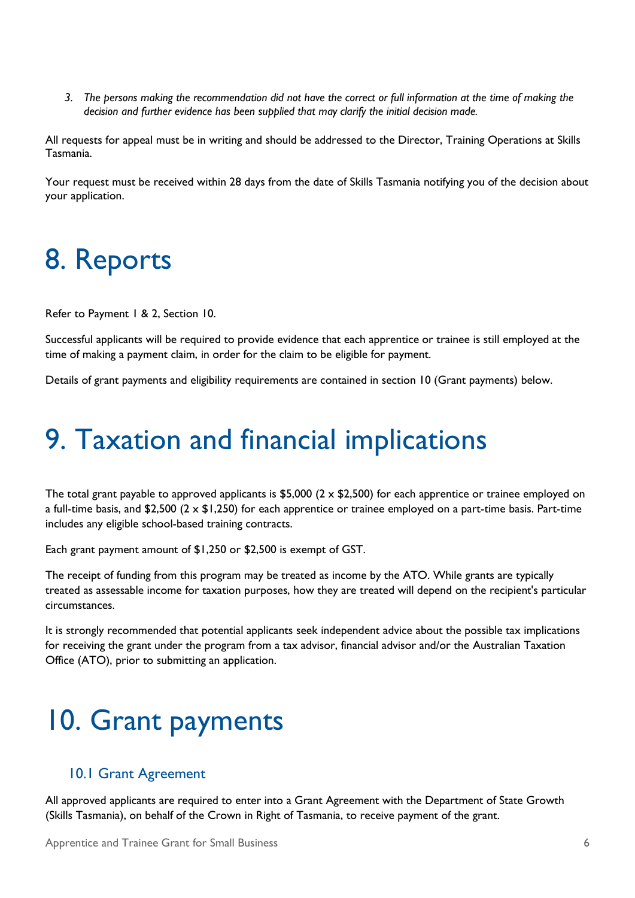*3. The persons making the recommendation did not have the correct or full information at the time of making the decision and further evidence has been supplied that may clarify the initial decision made.*

All requests for appeal must be in writing and should be addressed to the Director, Training Operations at Skills Tasmania.

Your request must be received within 28 days from the date of Skills Tasmania notifying you of the decision about your application.

### <span id="page-7-0"></span>8. Reports

Refer to Payment 1 & 2, Section 10.

Successful applicants will be required to provide evidence that each apprentice or trainee is still employed at the time of making a payment claim, in order for the claim to be eligible for payment.

Details of grant payments and eligibility requirements are contained in section 10 (Grant payments) below.

### <span id="page-7-1"></span>9. Taxation and financial implications

The total grant payable to approved applicants is \$5,000 ( $2 \times$  \$2,500) for each apprentice or trainee employed on a full-time basis, and \$2,500 (2 x \$1,250) for each apprentice or trainee employed on a part-time basis. Part-time includes any eligible school-based training contracts.

Each grant payment amount of \$1,250 or \$2,500 is exempt of GST.

The receipt of funding from this program may be treated as income by the ATO. While grants are typically treated as assessable income for taxation purposes, how they are treated will depend on the recipient's particular circumstances.

It is strongly recommended that potential applicants seek independent advice about the possible tax implications for receiving the grant under the program from a tax advisor, financial advisor and/or the Australian Taxation Office (ATO), prior to submitting an application.

### <span id="page-7-2"></span>10. Grant payments

#### <span id="page-7-3"></span>10.1 Grant Agreement

All approved applicants are required to enter into a Grant Agreement with the Department of State Growth (Skills Tasmania), on behalf of the Crown in Right of Tasmania, to receive payment of the grant.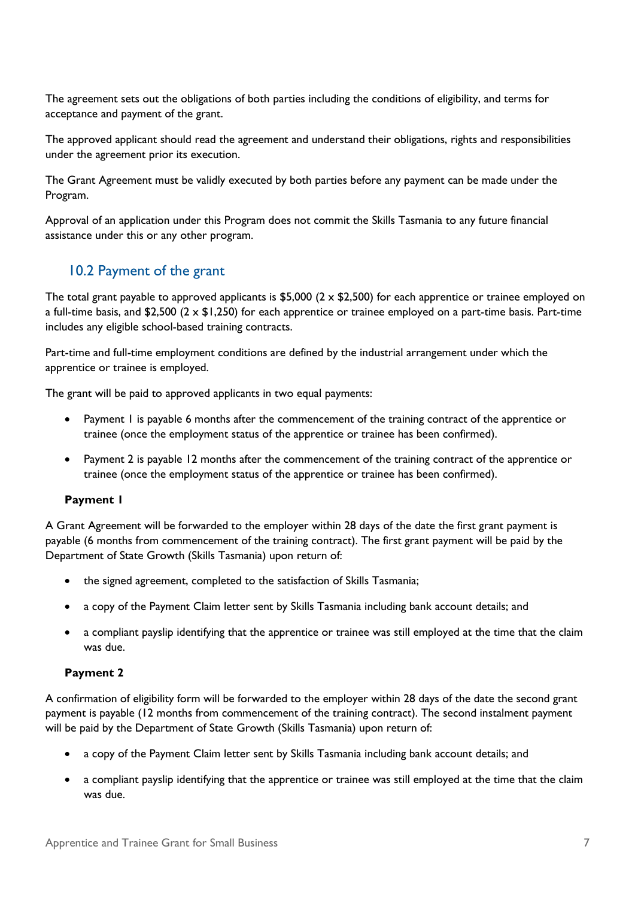The agreement sets out the obligations of both parties including the conditions of eligibility, and terms for acceptance and payment of the grant.

The approved applicant should read the agreement and understand their obligations, rights and responsibilities under the agreement prior its execution.

The Grant Agreement must be validly executed by both parties before any payment can be made under the Program.

Approval of an application under this Program does not commit the Skills Tasmania to any future financial assistance under this or any other program.

#### <span id="page-8-0"></span>10.2 Payment of the grant

The total grant payable to approved applicants is \$5,000 ( $2 \times$  \$2,500) for each apprentice or trainee employed on a full-time basis, and \$2,500 ( $2 \times$  \$1,250) for each apprentice or trainee employed on a part-time basis. Part-time includes any eligible school-based training contracts.

Part-time and full-time employment conditions are defined by the industrial arrangement under which the apprentice or trainee is employed.

The grant will be paid to approved applicants in two equal payments:

- Payment 1 is payable 6 months after the commencement of the training contract of the apprentice or trainee (once the employment status of the apprentice or trainee has been confirmed).
- Payment 2 is payable 12 months after the commencement of the training contract of the apprentice or trainee (once the employment status of the apprentice or trainee has been confirmed).

#### **Payment 1**

A Grant Agreement will be forwarded to the employer within 28 days of the date the first grant payment is payable (6 months from commencement of the training contract). The first grant payment will be paid by the Department of State Growth (Skills Tasmania) upon return of:

- the signed agreement, completed to the satisfaction of Skills Tasmania;
- a copy of the Payment Claim letter sent by Skills Tasmania including bank account details; and
- a compliant payslip identifying that the apprentice or trainee was still employed at the time that the claim was due.

#### **Payment 2**

A confirmation of eligibility form will be forwarded to the employer within 28 days of the date the second grant payment is payable (12 months from commencement of the training contract). The second instalment payment will be paid by the Department of State Growth (Skills Tasmania) upon return of:

- a copy of the Payment Claim letter sent by Skills Tasmania including bank account details; and
- a compliant payslip identifying that the apprentice or trainee was still employed at the time that the claim was due.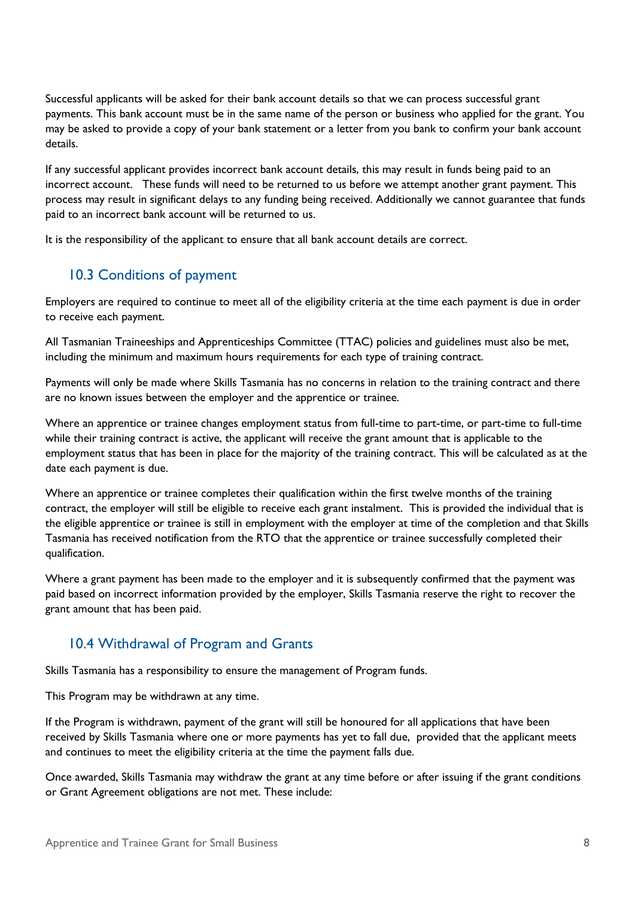Successful applicants will be asked for their bank account details so that we can process successful grant payments. This bank account must be in the same name of the person or business who applied for the grant. You may be asked to provide a copy of your bank statement or a letter from you bank to confirm your bank account details.

If any successful applicant provides incorrect bank account details, this may result in funds being paid to an incorrect account. These funds will need to be returned to us before we attempt another grant payment. This process may result in significant delays to any funding being received. Additionally we cannot guarantee that funds paid to an incorrect bank account will be returned to us.

<span id="page-9-0"></span>It is the responsibility of the applicant to ensure that all bank account details are correct.

#### 10.3 Conditions of payment

Employers are required to continue to meet all of the eligibility criteria at the time each payment is due in order to receive each payment.

All Tasmanian Traineeships and Apprenticeships Committee (TTAC) policies and guidelines must also be met, including the minimum and maximum hours requirements for each type of training contract.

Payments will only be made where Skills Tasmania has no concerns in relation to the training contract and there are no known issues between the employer and the apprentice or trainee.

Where an apprentice or trainee changes employment status from full-time to part-time, or part-time to full-time while their training contract is active, the applicant will receive the grant amount that is applicable to the employment status that has been in place for the majority of the training contract. This will be calculated as at the date each payment is due.

Where an apprentice or trainee completes their qualification within the first twelve months of the training contract, the employer will still be eligible to receive each grant instalment. This is provided the individual that is the eligible apprentice or trainee is still in employment with the employer at time of the completion and that Skills Tasmania has received notification from the RTO that the apprentice or trainee successfully completed their qualification.

Where a grant payment has been made to the employer and it is subsequently confirmed that the payment was paid based on incorrect information provided by the employer, Skills Tasmania reserve the right to recover the grant amount that has been paid.

#### <span id="page-9-1"></span>10.4 Withdrawal of Program and Grants

Skills Tasmania has a responsibility to ensure the management of Program funds.

This Program may be withdrawn at any time.

If the Program is withdrawn, payment of the grant will still be honoured for all applications that have been received by Skills Tasmania where one or more payments has yet to fall due, provided that the applicant meets and continues to meet the eligibility criteria at the time the payment falls due.

Once awarded, Skills Tasmania may withdraw the grant at any time before or after issuing if the grant conditions or Grant Agreement obligations are not met. These include: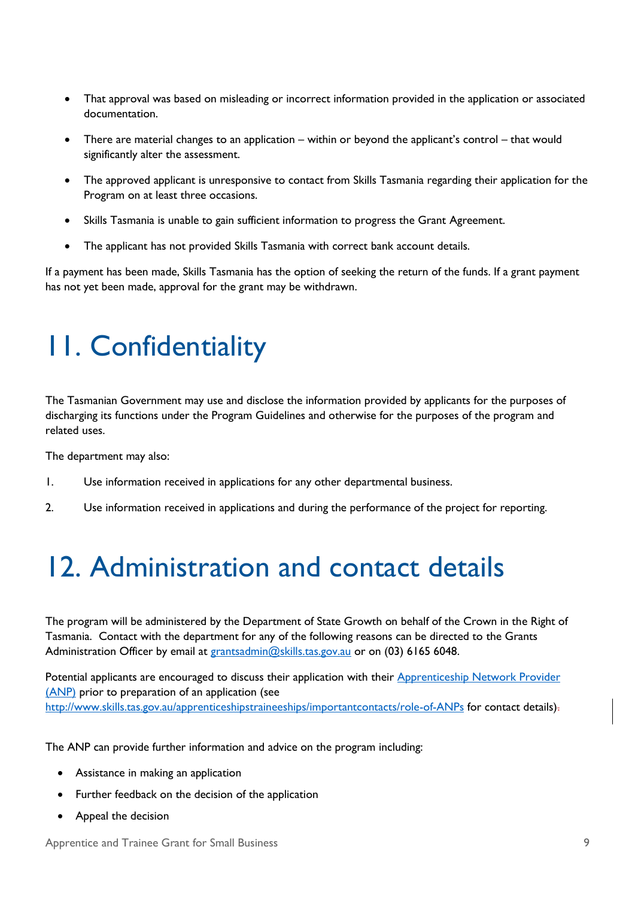- That approval was based on misleading or incorrect information provided in the application or associated documentation.
- There are material changes to an application within or beyond the applicant's control that would significantly alter the assessment.
- The approved applicant is unresponsive to contact from Skills Tasmania regarding their application for the Program on at least three occasions.
- Skills Tasmania is unable to gain sufficient information to progress the Grant Agreement.
- The applicant has not provided Skills Tasmania with correct bank account details.

If a payment has been made, Skills Tasmania has the option of seeking the return of the funds. If a grant payment has not yet been made, approval for the grant may be withdrawn.

## <span id="page-10-0"></span>11. Confidentiality

The Tasmanian Government may use and disclose the information provided by applicants for the purposes of discharging its functions under the Program Guidelines and otherwise for the purposes of the program and related uses.

The department may also:

- 1. Use information received in applications for any other departmental business.
- 2. Use information received in applications and during the performance of the project for reporting.

## <span id="page-10-1"></span>12. Administration and contact details

The program will be administered by the Department of State Growth on behalf of the Crown in the Right of Tasmania. Contact with the department for any of the following reasons can be directed to the Grants Administration Officer by email at [grantsadmin@skills.tas.gov.au](mailto:grantsadmin@skills.tas.gov.au) or on (03) 6165 6048.

Potential applicants are encouraged to discuss their application with their Apprenticeship Network Provider (ANP) prior to preparation of an application (see <http://www.skills.tas.gov.au/apprenticeshipstraineeships/importantcontacts/role-of-ANPs> for contact details).

The ANP can provide further information and advice on the program including:

- Assistance in making an application
- Further feedback on the decision of the application
- Appeal the decision

Apprentice and Trainee Grant for Small Business 9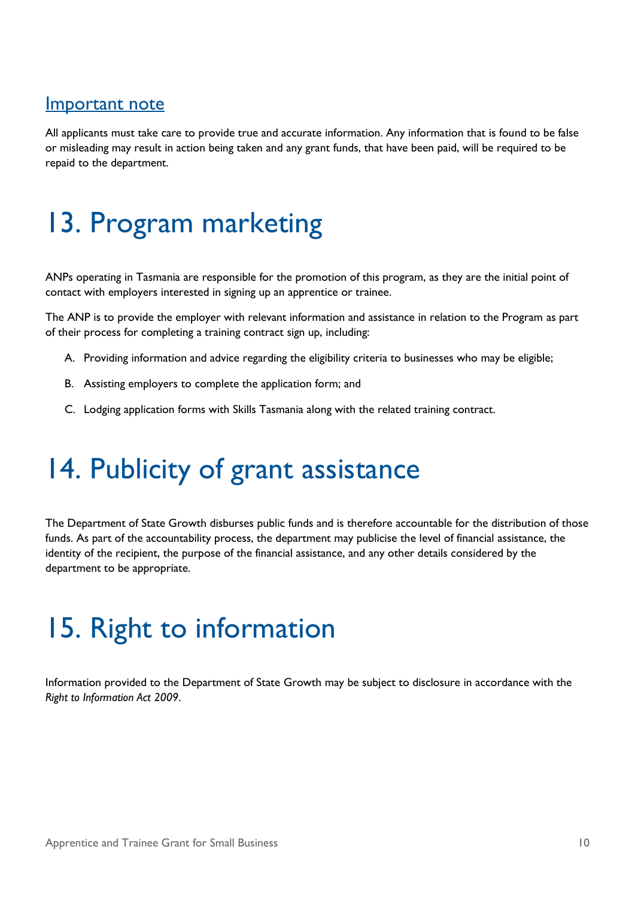#### <span id="page-11-0"></span>Important note

All applicants must take care to provide true and accurate information. Any information that is found to be false or misleading may result in action being taken and any grant funds, that have been paid, will be required to be repaid to the department.

## <span id="page-11-1"></span>13. Program marketing

ANPs operating in Tasmania are responsible for the promotion of this program, as they are the initial point of contact with employers interested in signing up an apprentice or trainee.

The ANP is to provide the employer with relevant information and assistance in relation to the Program as part of their process for completing a training contract sign up, including:

- A. Providing information and advice regarding the eligibility criteria to businesses who may be eligible;
- B. Assisting employers to complete the application form; and
- C. Lodging application forms with Skills Tasmania along with the related training contract.

## <span id="page-11-2"></span>14. Publicity of grant assistance

The Department of State Growth disburses public funds and is therefore accountable for the distribution of those funds. As part of the accountability process, the department may publicise the level of financial assistance, the identity of the recipient, the purpose of the financial assistance, and any other details considered by the department to be appropriate.

## <span id="page-11-3"></span>15. Right to information

Information provided to the Department of State Growth may be subject to disclosure in accordance with the *Right to Information Act 2009*.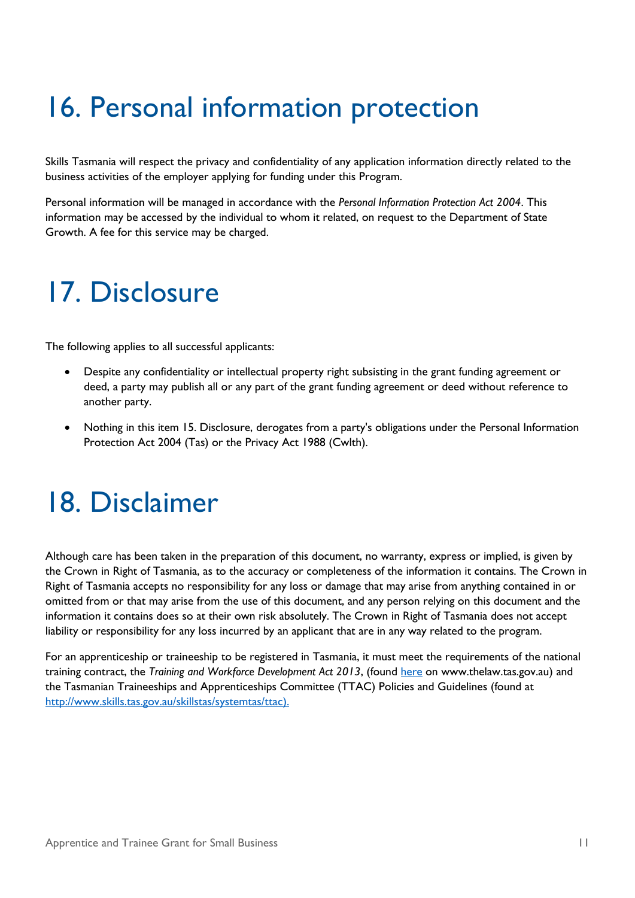## <span id="page-12-0"></span>16. Personal information protection

Skills Tasmania will respect the privacy and confidentiality of any application information directly related to the business activities of the employer applying for funding under this Program.

Personal information will be managed in accordance with the *Personal Information Protection Act 2004*. This information may be accessed by the individual to whom it related, on request to the Department of State Growth. A fee for this service may be charged.

### <span id="page-12-1"></span>17. Disclosure

The following applies to all successful applicants:

- Despite any confidentiality or intellectual property right subsisting in the grant funding agreement or deed, a party may publish all or any part of the grant funding agreement or deed without reference to another party.
- Nothing in this item 15. Disclosure, derogates from a party's obligations under the Personal Information Protection Act 2004 (Tas) or the Privacy Act 1988 (Cwlth).

### <span id="page-12-2"></span>18. Disclaimer

Although care has been taken in the preparation of this document, no warranty, express or implied, is given by the Crown in Right of Tasmania, as to the accuracy or completeness of the information it contains. The Crown in Right of Tasmania accepts no responsibility for any loss or damage that may arise from anything contained in or omitted from or that may arise from the use of this document, and any person relying on this document and the information it contains does so at their own risk absolutely. The Crown in Right of Tasmania does not accept liability or responsibility for any loss incurred by an applicant that are in any way related to the program.

For an apprenticeship or traineeship to be registered in Tasmania, it must meet the requirements of the national training contract, the *Training and Workforce Development Act 2013*, (found [here](http://www.thelaw.tas.gov.au/tocview/index.w3p;cond=all;doc_id=9++2013+AT@EN+SESSIONAL;histon=;prompt=;rec=;term=training%20and%20workforce) on www.thelaw.tas.gov.au) and the Tasmanian Traineeships and Apprenticeships Committee (TTAC) Policies and Guidelines (found at [http://www.skills.tas.gov.au/skillstas/systemtas/ttac\)](http://www.skills.tas.gov.au/skillstas/systemtas/ttac).